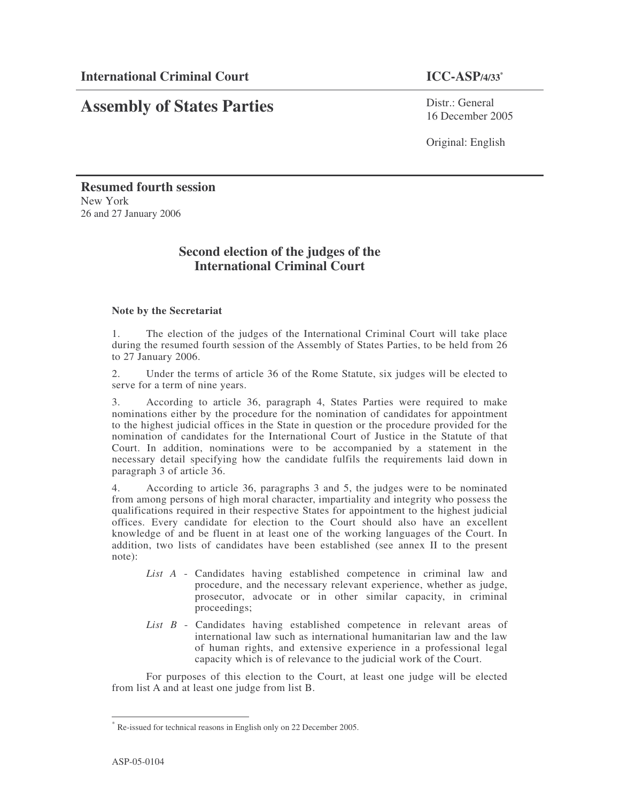### $\text{ICC-ASP}/4/33^*$

# **Assembly of States Parties**

Distr.: General 16 December 2005

Original: English

**Resumed fourth session** New York 26 and 27 January 2006

## **Second election of the judges of the International Criminal Court**

### **Note by the Secretariat**

1. The election of the judges of the International Criminal Court will take place during the resumed fourth session of the Assembly of States Parties, to be held from 26 to 27 January 2006.

2. Under the terms of article 36 of the Rome Statute, six judges will be elected to serve for a term of nine years.

3. According to article 36, paragraph 4, States Parties were required to make nominations either by the procedure for the nomination of candidates for appointment to the highest judicial offices in the State in question or the procedure provided for the nomination of candidates for the International Court of Justice in the Statute of that Court. In addition, nominations were to be accompanied by a statement in the necessary detail specifying how the candidate fulfils the requirements laid down in paragraph 3 of article 36.

4. According to article 36, paragraphs 3 and 5, the judges were to be nominated from among persons of high moral character, impartiality and integrity who possess the qualifications required in their respective States for appointment to the highest judicial offices. Every candidate for election to the Court should also have an excellent knowledge of and be fluent in at least one of the working languages of the Court. In addition, two lists of candidates have been established (see annex II to the present note):

- *List A* Candidates having established competence in criminal law and procedure, and the necessary relevant experience, whether as judge, prosecutor, advocate or in other similar capacity, in criminal proceedings;
- *List B* Candidates having established competence in relevant areas of international law such as international humanitarian law and the law of human rights, and extensive experience in a professional legal capacity which is of relevance to the judicial work of the Court.

For purposes of this election to the Court, at least one judge will be elected from list A and at least one judge from list B.

Re-issued for technical reasons in English only on 22 December 2005.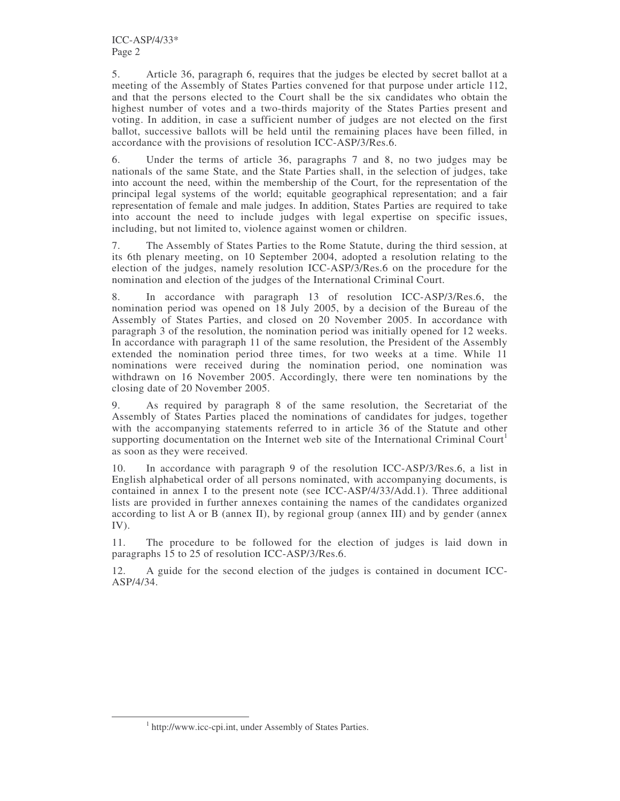5. Article 36, paragraph 6, requires that the judges be elected by secret ballot at a meeting of the Assembly of States Parties convened for that purpose under article 112, and that the persons elected to the Court shall be the six candidates who obtain the highest number of votes and a two-thirds majority of the States Parties present and voting. In addition, in case a sufficient number of judges are not elected on the first ballot, successive ballots will be held until the remaining places have been filled, in accordance with the provisions of resolution ICC-ASP/3/Res.6.

6. Under the terms of article 36, paragraphs 7 and 8, no two judges may be nationals of the same State, and the State Parties shall, in the selection of judges, take into account the need, within the membership of the Court, for the representation of the principal legal systems of the world; equitable geographical representation; and a fair representation of female and male judges. In addition, States Parties are required to take into account the need to include judges with legal expertise on specific issues, including, but not limited to, violence against women or children.

7. The Assembly of States Parties to the Rome Statute, during the third session, at its 6th plenary meeting, on 10 September 2004, adopted a resolution relating to the election of the judges, namely resolution ICC-ASP/3/Res.6 on the procedure for the nomination and election of the judges of the International Criminal Court.

8. In accordance with paragraph 13 of resolution ICC-ASP/3/Res.6, the nomination period was opened on 18 July 2005, by a decision of the Bureau of the Assembly of States Parties, and closed on 20 November 2005. In accordance with paragraph 3 of the resolution, the nomination period was initially opened for 12 weeks. In accordance with paragraph 11 of the same resolution, the President of the Assembly extended the nomination period three times, for two weeks at a time. While 11 nominations were received during the nomination period, one nomination was withdrawn on 16 November 2005. Accordingly, there were ten nominations by the closing date of 20 November 2005.

9. As required by paragraph 8 of the same resolution, the Secretariat of the Assembly of States Parties placed the nominations of candidates for judges, together with the accompanying statements referred to in article 36 of the Statute and other supporting documentation on the Internet web site of the International Criminal Court<sup>1</sup> as soon as they were received.

10. In accordance with paragraph 9 of the resolution ICC-ASP/3/Res.6, a list in English alphabetical order of all persons nominated, with accompanying documents, is contained in annex I to the present note (see ICC-ASP/4/33/Add.1). Three additional lists are provided in further annexes containing the names of the candidates organized according to list A or B (annex II), by regional group (annex III) and by gender (annex IV).

11. The procedure to be followed for the election of judges is laid down in paragraphs 15 to 25 of resolution ICC-ASP/3/Res.6.

12. A guide for the second election of the judges is contained in document ICC-ASP/4/34.

<sup>&</sup>lt;sup>1</sup> http://www.icc-cpi.int, under Assembly of States Parties.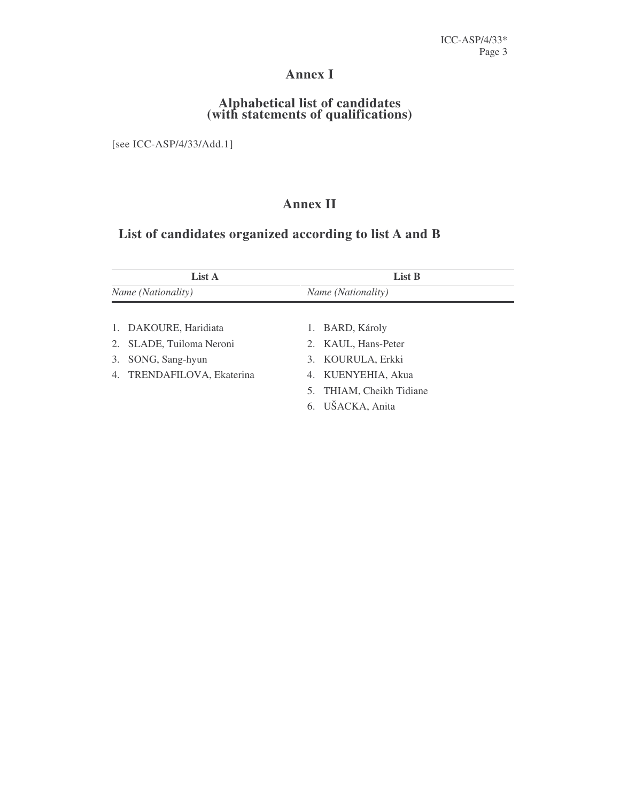## **Annex I**

### **Alphabetical list of candidates (with statements of qualifications)**

[see ICC-ASP/4/33/Add.1]

## **Annex II**

## **List of candidates organized according to list A and B**

| List A<br><i>Name</i> ( <i>Nationality</i> ) |                            | List B                      |  |
|----------------------------------------------|----------------------------|-----------------------------|--|
|                                              |                            | Name (Nationality)          |  |
|                                              |                            |                             |  |
|                                              | 1. DAKOURE, Haridiata      | BARD, Károly<br>1.          |  |
|                                              | 2. SLADE, Tuiloma Neroni   | 2. KAUL, Hans-Peter         |  |
| 3.                                           | SONG, Sang-hyun            | 3. KOURULA, Erkki           |  |
|                                              | 4. TRENDAFILOVA, Ekaterina | 4. KUENYEHIA, Akua          |  |
|                                              |                            | THIAM, Cheikh Tidiane<br>5. |  |
|                                              |                            | UŠACKA, Anita<br>6.         |  |